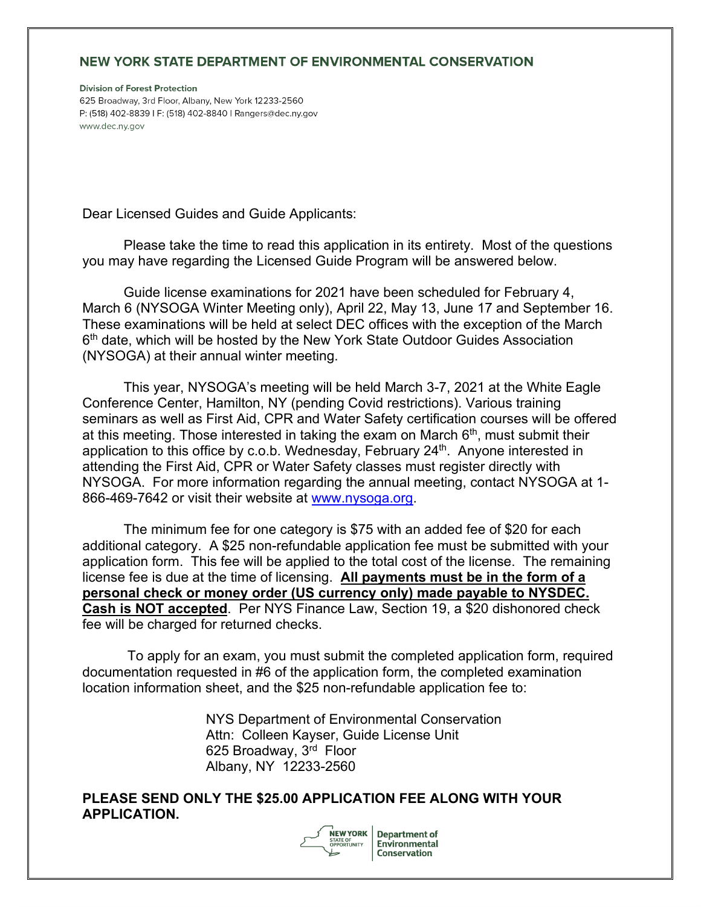## NEW YORK STATE DEPARTMENT OF ENVIRONMENTAL CONSERVATION

**Division of Forest Protection** 625 Broadway, 3rd Floor, Albany, New York 12233-2560 P: (518) 402-8839 | F: (518) 402-8840 | Rangers@dec.ny.gov www.dec.ny.gov

Dear Licensed Guides and Guide Applicants:

Please take the time to read this application in its entirety. Most of the questions you may have regarding the Licensed Guide Program will be answered below.

Guide license examinations for 2021 have been scheduled for February 4, March 6 (NYSOGA Winter Meeting only), April 22, May 13, June 17 and September 16. These examinations will be held at select DEC offices with the exception of the March 6<sup>th</sup> date, which will be hosted by the New York State Outdoor Guides Association (NYSOGA) at their annual winter meeting.

This year, NYSOGA's meeting will be held March 3-7, 2021 at the White Eagle Conference Center, Hamilton, NY (pending Covid restrictions). Various training seminars as well as First Aid, CPR and Water Safety certification courses will be offered at this meeting. Those interested in taking the exam on March  $6<sup>th</sup>$ , must submit their application to this office by c.o.b. Wednesday, February 24<sup>th</sup>. Anyone interested in attending the First Aid, CPR or Water Safety classes must register directly with NYSOGA. For more information regarding the annual meeting, contact NYSOGA at 1- 866-469-7642 or visit their website at [www.nysoga.org.](http://www.nysoga.org/)

The minimum fee for one category is \$75 with an added fee of \$20 for each additional category. A \$25 non-refundable application fee must be submitted with your application form. This fee will be applied to the total cost of the license. The remaining license fee is due at the time of licensing. **All payments must be in the form of a personal check or money order (US currency only) made payable to NYSDEC. Cash is NOT accepted**. Per NYS Finance Law, Section 19, a \$20 dishonored check fee will be charged for returned checks.

To apply for an exam, you must submit the completed application form, required documentation requested in #6 of the application form, the completed examination location information sheet, and the \$25 non-refundable application fee to:

> NYS Department of Environmental Conservation Attn: Colleen Kayser, Guide License Unit 625 Broadway, 3rd Floor Albany, NY 12233-2560

**PLEASE SEND ONLY THE \$25.00 APPLICATION FEE ALONG WITH YOUR APPLICATION.** 



**Department of** Environmental **Conservation**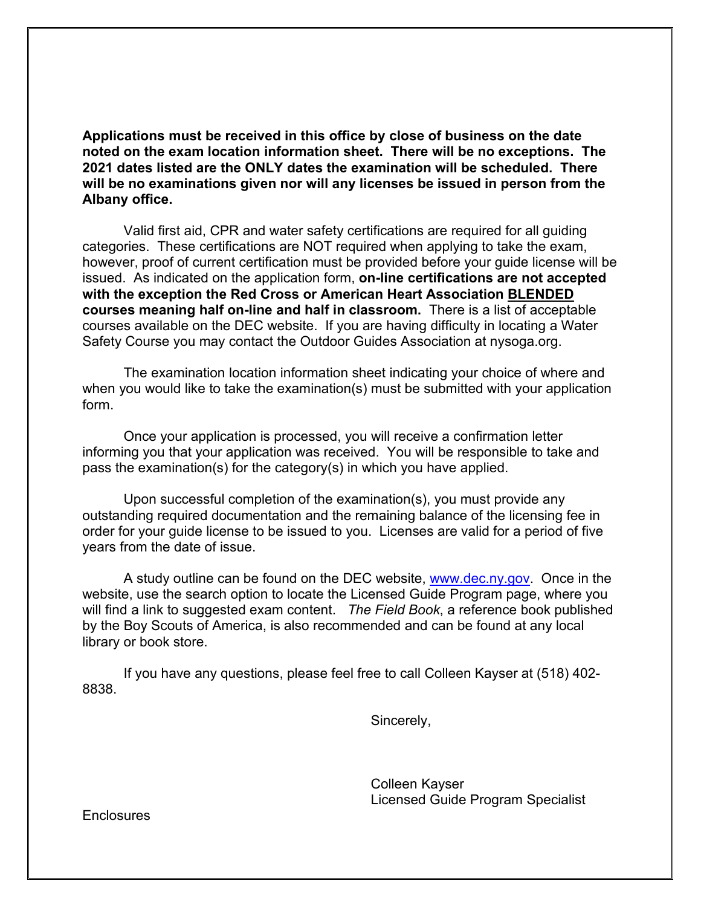**Applications must be received in this office by close of business on the date noted on the exam location information sheet. There will be no exceptions. The 2021 dates listed are the ONLY dates the examination will be scheduled. There will be no examinations given nor will any licenses be issued in person from the Albany office.**

Valid first aid, CPR and water safety certifications are required for all guiding categories. These certifications are NOT required when applying to take the exam, however, proof of current certification must be provided before your guide license will be issued. As indicated on the application form, **on-line certifications are not accepted with the exception the Red Cross or American Heart Association BLENDED courses meaning half on-line and half in classroom.** There is a list of acceptable courses available on the DEC website. If you are having difficulty in locating a Water Safety Course you may contact the Outdoor Guides Association at nysoga.org.

The examination location information sheet indicating your choice of where and when you would like to take the examination(s) must be submitted with your application form.

Once your application is processed, you will receive a confirmation letter informing you that your application was received. You will be responsible to take and pass the examination(s) for the category(s) in which you have applied.

Upon successful completion of the examination(s), you must provide any outstanding required documentation and the remaining balance of the licensing fee in order for your guide license to be issued to you. Licenses are valid for a period of five years from the date of issue.

A study outline can be found on the DEC website, [www.dec.ny.gov.](http://www.dec.ny.gov/) Once in the website, use the search option to locate the Licensed Guide Program page, where you will find a link to suggested exam content. *The Field Book*, a reference book published by the Boy Scouts of America, is also recommended and can be found at any local library or book store.

If you have any questions, please feel free to call Colleen Kayser at (518) 402- 8838.

Sincerely,

Colleen Kayser Licensed Guide Program Specialist

**Enclosures**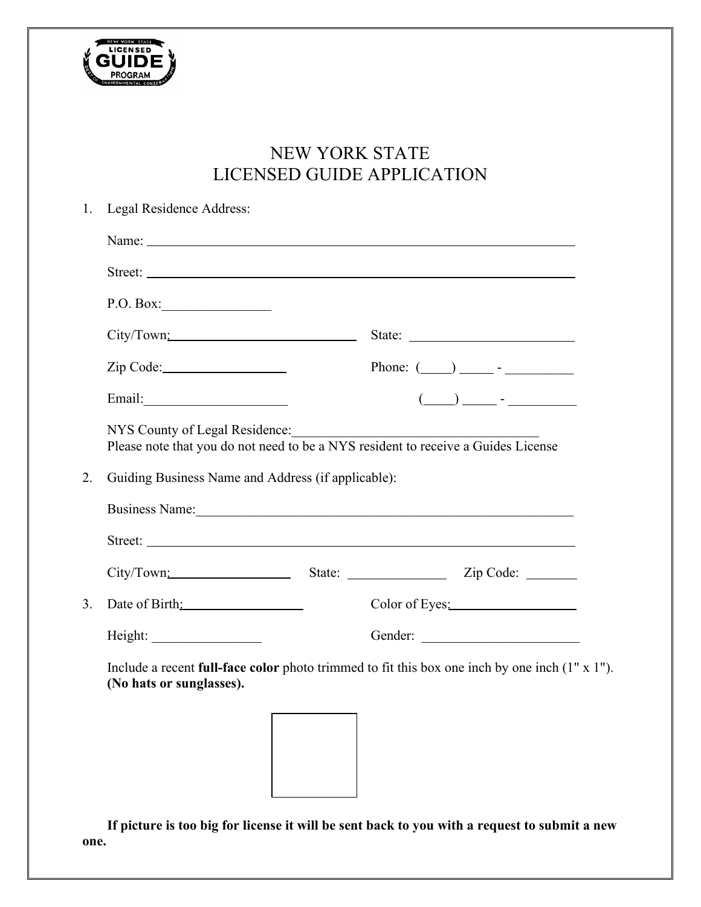

# NEW YORK STATE LICENSED GUIDE APPLICATION

| Name: Name Commission of the Commission of the Commission of the Commission of the Commission of the Commission of the Commission of the Commission of the Commission of the Commission of the Commission of the Commission of |  |                                                                                                                                                             |  |  |
|--------------------------------------------------------------------------------------------------------------------------------------------------------------------------------------------------------------------------------|--|-------------------------------------------------------------------------------------------------------------------------------------------------------------|--|--|
|                                                                                                                                                                                                                                |  |                                                                                                                                                             |  |  |
| P.O. Box:                                                                                                                                                                                                                      |  |                                                                                                                                                             |  |  |
| City/Town:                                                                                                                                                                                                                     |  |                                                                                                                                                             |  |  |
|                                                                                                                                                                                                                                |  |                                                                                                                                                             |  |  |
|                                                                                                                                                                                                                                |  | $\overline{(\hspace{0.2cm}\underline{\hspace{0.2cm}})}\hspace{0.2cm}\underline{\hspace{0.2cm}}$ - $\overline{\hspace{0.2cm}}$ - $\overline{\hspace{0.2cm}}$ |  |  |
| NYS County of Legal Residence:<br>Please note that you do not need to be a NYS resident to receive a Guides License<br>Guiding Business Name and Address (if applicable):<br>Business Name: 1988<br>Street:                    |  |                                                                                                                                                             |  |  |
|                                                                                                                                                                                                                                |  |                                                                                                                                                             |  |  |
|                                                                                                                                                                                                                                |  |                                                                                                                                                             |  |  |
| Date of Birth:                                                                                                                                                                                                                 |  | Color of Eyes:                                                                                                                                              |  |  |
|                                                                                                                                                                                                                                |  | Gender:                                                                                                                                                     |  |  |
| (No hats or sunglasses).                                                                                                                                                                                                       |  | Include a recent full-face color photo trimmed to fit this box one inch by one inch $(1" x 1")$ .                                                           |  |  |

**If picture is too big for license it will be sent back to you with a request to submit a new one.**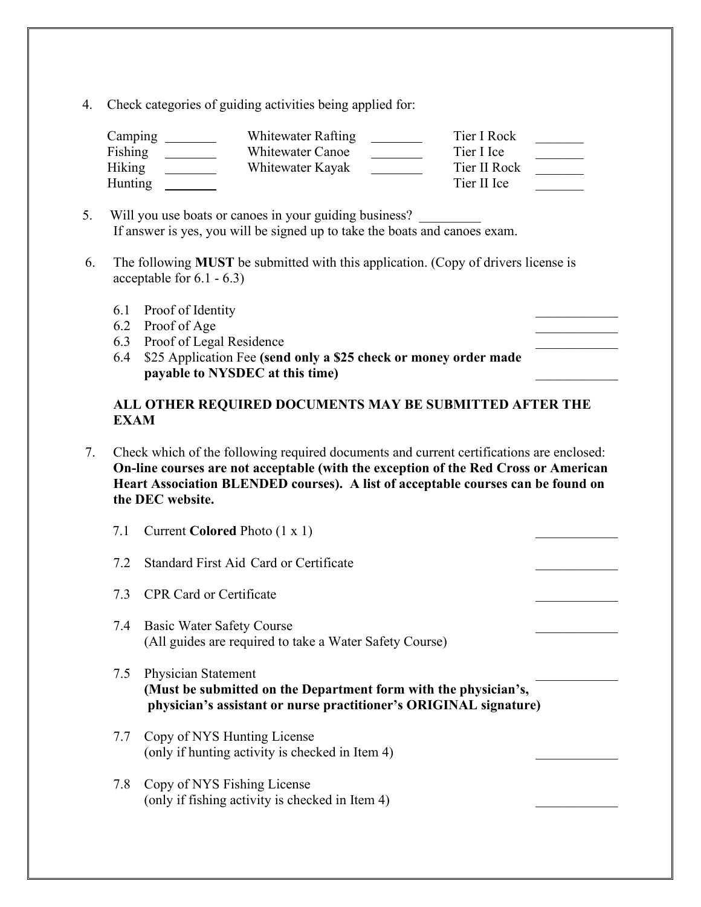4. Check categories of guiding activities being applied for:

| Camping | Whitewater Rafting | Tier I Rock  |  |
|---------|--------------------|--------------|--|
| Fishing | Whitewater Canoe   | Tier I Ice   |  |
| Hiking  | Whitewater Kayak   | Tier II Rock |  |
| Hunting |                    | Tier II Ice  |  |

- 5. Will you use boats or canoes in your guiding business? If answer is yes, you will be signed up to take the boats and canoes exam.
- 6. The following **MUST** be submitted with this application. (Copy of drivers license is acceptable for 6.1 - 6.3)
	- 6.1 Proof of Identity
	- 6.2 Proof of Age
	- 6.3 Proof of Legal Residence
	- 6.4 \$25 Application Fee **(send only a \$25 check or money order made payable to NYSDEC at this time)** \_\_\_\_\_\_\_\_\_\_\_\_

## **ALL OTHER REQUIRED DOCUMENTS MAY BE SUBMITTED AFTER THE EXAM**

 7. Check which of the following required documents and current certifications are enclosed: **On-line courses are not acceptable (with the exception of the Red Cross or American Heart Association BLENDED courses). A list of acceptable courses can be found on the DEC website.**

| 7.1 | Current Colored Photo (1 x 1)                                                                                                                               |  |
|-----|-------------------------------------------------------------------------------------------------------------------------------------------------------------|--|
| 7.2 | Standard First Aid Card or Certificate                                                                                                                      |  |
| 7.3 | <b>CPR Card or Certificate</b>                                                                                                                              |  |
| 7.4 | <b>Basic Water Safety Course</b><br>(All guides are required to take a Water Safety Course)                                                                 |  |
| 7.5 | Physician Statement<br>(Must be submitted on the Department form with the physician's,<br>physician's assistant or nurse practitioner's ORIGINAL signature) |  |
| 7.7 | Copy of NYS Hunting License<br>(only if hunting activity is checked in Item 4)                                                                              |  |
| 7.8 | Copy of NYS Fishing License<br>(only if fishing activity is checked in Item 4)                                                                              |  |
|     |                                                                                                                                                             |  |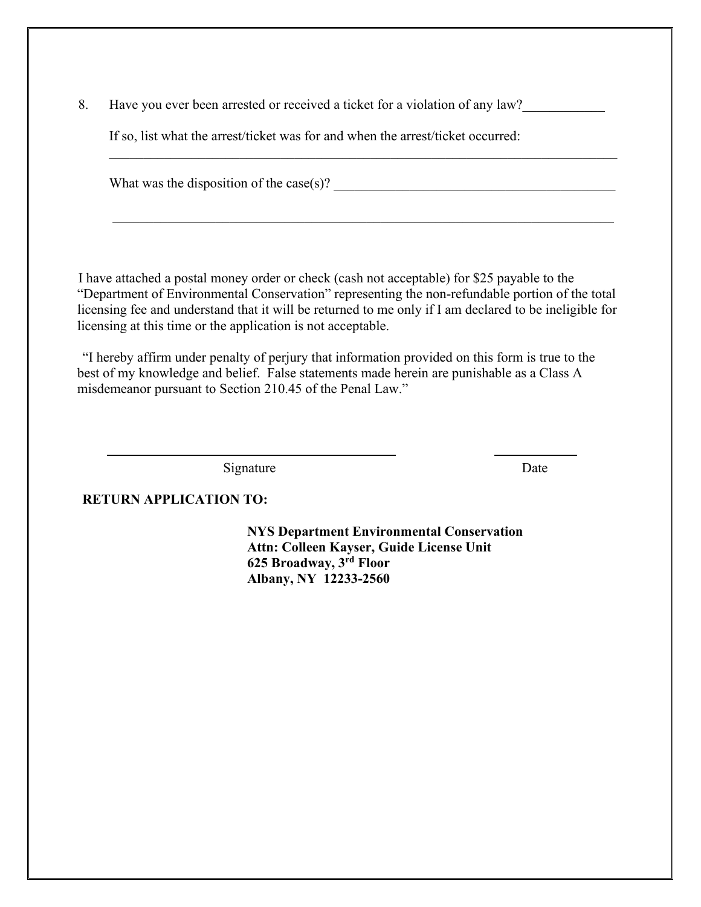8. Have you ever been arrested or received a ticket for a violation of any law?

If so, list what the arrest/ticket was for and when the arrest/ticket occurred:

What was the disposition of the case(s)?

I have attached a postal money order or check (cash not acceptable) for \$25 payable to the "Department of Environmental Conservation" representing the non-refundable portion of the total licensing fee and understand that it will be returned to me only if I am declared to be ineligible for licensing at this time or the application is not acceptable.

 $\mathcal{L}_\text{max}$  , and the contribution of the contribution of the contribution of the contribution of the contribution of the contribution of the contribution of the contribution of the contribution of the contribution of t

"I hereby affirm under penalty of perjury that information provided on this form is true to the best of my knowledge and belief. False statements made herein are punishable as a Class A misdemeanor pursuant to Section 210.45 of the Penal Law."

Signature Date

### **RETURN APPLICATION TO:**

**NYS Department Environmental Conservation Attn: Colleen Kayser, Guide License Unit 625 Broadway, 3rd Floor Albany, NY 12233-2560**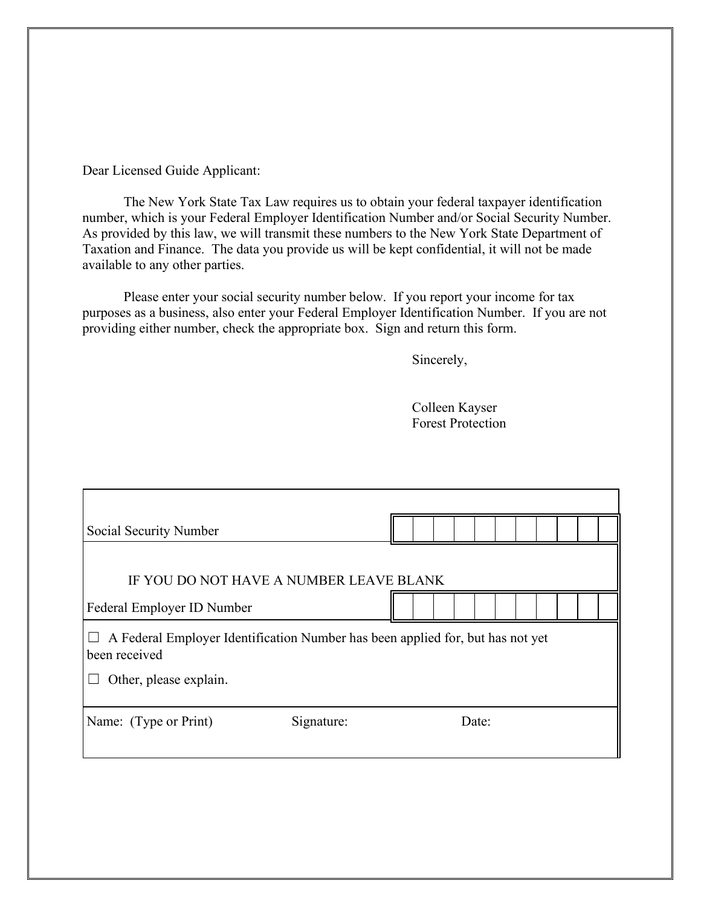Dear Licensed Guide Applicant:

The New York State Tax Law requires us to obtain your federal taxpayer identification number, which is your Federal Employer Identification Number and/or Social Security Number. As provided by this law, we will transmit these numbers to the New York State Department of Taxation and Finance. The data you provide us will be kept confidential, it will not be made available to any other parties.

Please enter your social security number below. If you report your income for tax purposes as a business, also enter your Federal Employer Identification Number. If you are not providing either number, check the appropriate box. Sign and return this form.

Sincerely,

Colleen Kayser Forest Protection

| Social Security Number                                                                          |       |  |  |  |  |  |
|-------------------------------------------------------------------------------------------------|-------|--|--|--|--|--|
|                                                                                                 |       |  |  |  |  |  |
| IF YOU DO NOT HAVE A NUMBER LEAVE BLANK                                                         |       |  |  |  |  |  |
| Federal Employer ID Number                                                                      |       |  |  |  |  |  |
| A Federal Employer Identification Number has been applied for, but has not yet<br>been received |       |  |  |  |  |  |
| Other, please explain.                                                                          |       |  |  |  |  |  |
| Name: (Type or Print)<br>Signature:                                                             | Date: |  |  |  |  |  |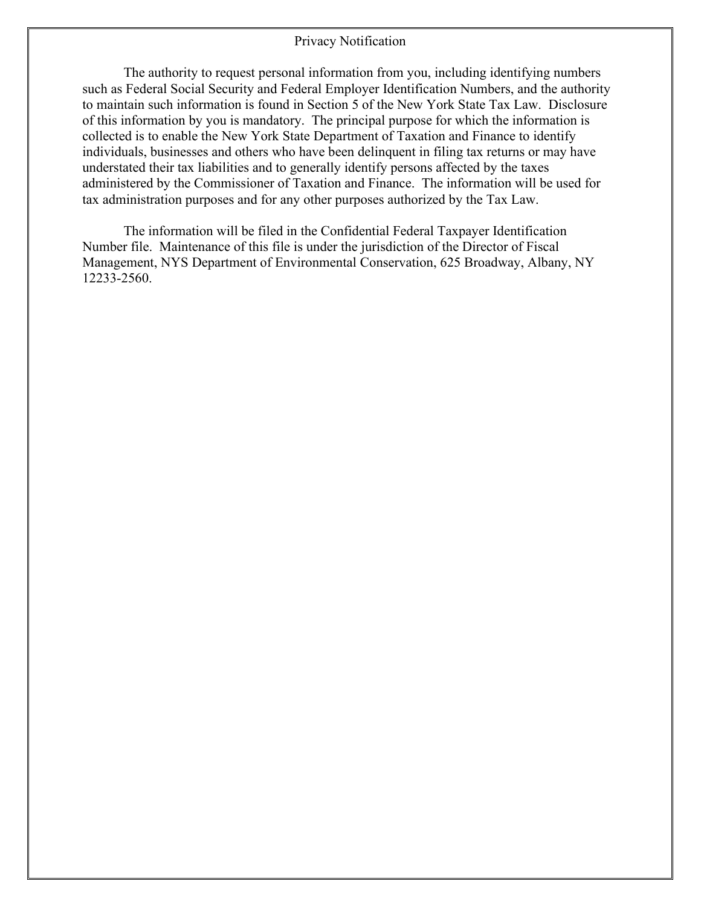#### Privacy Notification

The authority to request personal information from you, including identifying numbers such as Federal Social Security and Federal Employer Identification Numbers, and the authority to maintain such information is found in Section 5 of the New York State Tax Law. Disclosure of this information by you is mandatory. The principal purpose for which the information is collected is to enable the New York State Department of Taxation and Finance to identify individuals, businesses and others who have been delinquent in filing tax returns or may have understated their tax liabilities and to generally identify persons affected by the taxes administered by the Commissioner of Taxation and Finance. The information will be used for tax administration purposes and for any other purposes authorized by the Tax Law.

The information will be filed in the Confidential Federal Taxpayer Identification Number file. Maintenance of this file is under the jurisdiction of the Director of Fiscal Management, NYS Department of Environmental Conservation, 625 Broadway, Albany, NY 12233-2560.